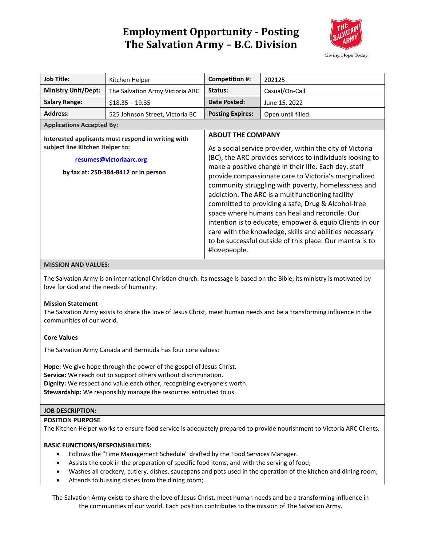# **Employment Opportunity - Posting The Salvation Army – B.C. Division**



| <b>Job Title:</b>                                  | Kitchen Helper                  | Competition #:                                                                                                                                                                                                                                                                                                                                                                                                                                                                                                                       | 202125             |
|----------------------------------------------------|---------------------------------|--------------------------------------------------------------------------------------------------------------------------------------------------------------------------------------------------------------------------------------------------------------------------------------------------------------------------------------------------------------------------------------------------------------------------------------------------------------------------------------------------------------------------------------|--------------------|
| <b>Ministry Unit/Dept:</b>                         | The Salvation Army Victoria ARC | Status:                                                                                                                                                                                                                                                                                                                                                                                                                                                                                                                              | Casual/On-Call     |
| <b>Salary Range:</b>                               | $$18.35 - 19.35$                | Date Posted:                                                                                                                                                                                                                                                                                                                                                                                                                                                                                                                         | June 15, 2022      |
| <b>Address:</b>                                    | 525 Johnson Street, Victoria BC | <b>Posting Expires:</b>                                                                                                                                                                                                                                                                                                                                                                                                                                                                                                              | Open until filled. |
| <b>Applications Accepted By:</b>                   |                                 |                                                                                                                                                                                                                                                                                                                                                                                                                                                                                                                                      |                    |
| Interested applicants must respond in writing with |                                 | <b>ABOUT THE COMPANY</b>                                                                                                                                                                                                                                                                                                                                                                                                                                                                                                             |                    |
| subject line Kitchen Helper to:                    |                                 | As a social service provider, within the city of Victoria                                                                                                                                                                                                                                                                                                                                                                                                                                                                            |                    |
| resumes@victoriaarc.org                            |                                 | (BC), the ARC provides services to individuals looking to                                                                                                                                                                                                                                                                                                                                                                                                                                                                            |                    |
| by fax at: 250-384-8412 or in person               |                                 | make a positive change in their life. Each day, staff<br>provide compassionate care to Victoria's marginalized<br>community struggling with poverty, homelessness and<br>addiction. The ARC is a multifunctioning facility<br>committed to providing a safe, Drug & Alcohol-free<br>space where humans can heal and reconcile. Our<br>intention is to educate, empower & equip Clients in our<br>care with the knowledge, skills and abilities necessary<br>to be successful outside of this place. Our mantra is to<br>#lovepeople. |                    |

### **MISSION AND VALUES:**

The Salvation Army is an international Christian church. Its message is based on the Bible; its ministry is motivated by love for God and the needs of humanity.

## **Mission Statement**

The Salvation Army exists to share the love of Jesus Christ, meet human needs and be a transforming influence in the communities of our world.

## **Core Values**

The Salvation Army Canada and Bermuda has four core values:

**Hope:** We give hope through the power of the gospel of Jesus Christ. **Service:** We reach out to support others without discrimination. **Dignity:** We respect and value each other, recognizing everyone's worth. **Stewardship:** We responsibly manage the resources entrusted to us.

## **JOB DESCRIPTION:**

### **POSITION PURPOSE**

The Kitchen Helper works to ensure food service is adequately prepared to provide nourishment to Victoria ARC Clients.

#### **BASIC FUNCTIONS/RESPONSIBILITIES:**

- Follows the "Time Management Schedule" drafted by the Food Services Manager.
- Assists the cook in the preparation of specific food items, and with the serving of food;
- Washes all crockery, cutlery, dishes, saucepans and pots used in the operation of the kitchen and dining room;
- Attends to bussing dishes from the dining room;

The Salvation Army exists to share the love of Jesus Christ, meet human needs and be a transforming influence in the communities of our world. Each position contributes to the mission of The Salvation Army.